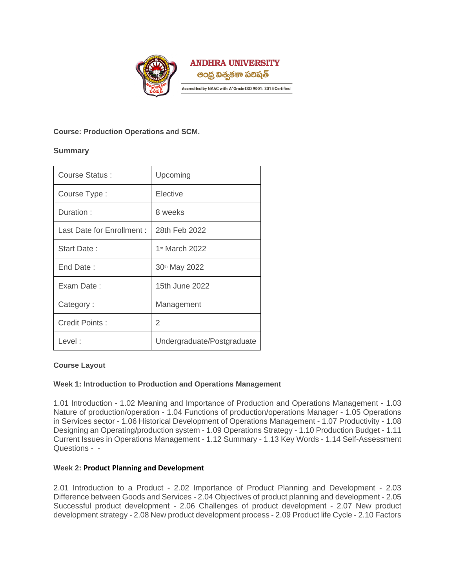

# **Course: Production Operations and SCM.**

# **Summary**

| Course Status:             | Upcoming                   |
|----------------------------|----------------------------|
| Course Type:               | Elective                   |
| Duration:                  | 8 weeks                    |
| Last Date for Enrollment : | 28th Feb 2022              |
| Start Date:                | 1st March 2022             |
| End Date:                  | 30th May 2022              |
| Exam Date:                 | 15th June 2022             |
| Category:                  | Management                 |
| Credit Points:             | 2                          |
| Level:                     | Undergraduate/Postgraduate |

## **Course Layout**

## **Week 1: Introduction to Production and Operations Management**

1.01 Introduction - 1.02 Meaning and Importance of Production and Operations Management - 1.03 Nature of production/operation - 1.04 Functions of production/operations Manager - 1.05 Operations in Services sector - 1.06 Historical Development of Operations Management - 1.07 Productivity - 1.08 Designing an Operating/production system - 1.09 Operations Strategy - 1.10 Production Budget - 1.11 Current Issues in Operations Management - 1.12 Summary - 1.13 Key Words - 1.14 Self-Assessment Questions - -

## **Week 2: Product Planning and Development**

2.01 Introduction to a Product - 2.02 Importance of Product Planning and Development - 2.03 Difference between Goods and Services - 2.04 Objectives of product planning and development - 2.05 Successful product development - 2.06 Challenges of product development - 2.07 New product development strategy - 2.08 New product development process - 2.09 Product life Cycle - 2.10 Factors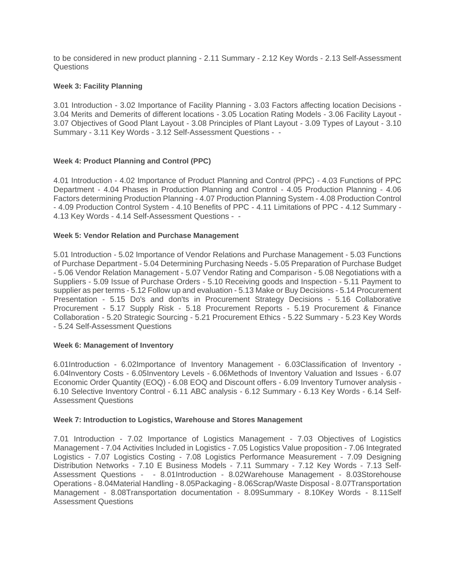to be considered in new product planning - 2.11 Summary - 2.12 Key Words - 2.13 Self-Assessment Questions

### **Week 3: Facility Planning**

3.01 Introduction - 3.02 Importance of Facility Planning - 3.03 Factors affecting location Decisions - 3.04 Merits and Demerits of different locations - 3.05 Location Rating Models - 3.06 Facility Layout - 3.07 Objectives of Good Plant Layout - 3.08 Principles of Plant Layout - 3.09 Types of Layout - 3.10 Summary - 3.11 Key Words - 3.12 Self-Assessment Questions - -

## **Week 4: Product Planning and Control (PPC)**

4.01 Introduction - 4.02 Importance of Product Planning and Control (PPC) - 4.03 Functions of PPC Department - 4.04 Phases in Production Planning and Control - 4.05 Production Planning - 4.06 Factors determining Production Planning - 4.07 Production Planning System - 4.08 Production Control - 4.09 Production Control System - 4.10 Benefits of PPC - 4.11 Limitations of PPC - 4.12 Summary - 4.13 Key Words - 4.14 Self-Assessment Questions - -

#### **Week 5: Vendor Relation and Purchase Management**

5.01 Introduction - 5.02 Importance of Vendor Relations and Purchase Management - 5.03 Functions of Purchase Department - 5.04 Determining Purchasing Needs - 5.05 Preparation of Purchase Budget - 5.06 Vendor Relation Management - 5.07 Vendor Rating and Comparison - 5.08 Negotiations with a Suppliers - 5.09 Issue of Purchase Orders - 5.10 Receiving goods and Inspection - 5.11 Payment to supplier as per terms - 5.12 Follow up and evaluation - 5.13 Make or Buy Decisions - 5.14 Procurement Presentation - 5.15 Do's and don'ts in Procurement Strategy Decisions - 5.16 Collaborative Procurement - 5.17 Supply Risk - 5.18 Procurement Reports - 5.19 Procurement & Finance Collaboration - 5.20 Strategic Sourcing - 5.21 Procurement Ethics - 5.22 Summary - 5.23 Key Words - 5.24 Self-Assessment Questions

#### **Week 6: Management of Inventory**

6.01Introduction - 6.02Importance of Inventory Management - 6.03Classification of Inventory - 6.04Inventory Costs - 6.05Inventory Levels - 6.06Methods of Inventory Valuation and Issues - 6.07 Economic Order Quantity (EOQ) - 6.08 EOQ and Discount offers - 6.09 Inventory Turnover analysis - 6.10 Selective Inventory Control - 6.11 ABC analysis - 6.12 Summary - 6.13 Key Words - 6.14 Self-Assessment Questions

#### **Week 7: Introduction to Logistics, Warehouse and Stores Management**

7.01 Introduction - 7.02 Importance of Logistics Management - 7.03 Objectives of Logistics Management - 7.04 Activities Included in Logistics - 7.05 Logistics Value proposition - 7.06 Integrated Logistics - 7.07 Logistics Costing - 7.08 Logistics Performance Measurement - 7.09 Designing Distribution Networks - 7.10 E Business Models - 7.11 Summary - 7.12 Key Words - 7.13 Self-Assessment Questions - - 8.01Introduction - 8.02Warehouse Management - 8.03Storehouse Operations - 8.04Material Handling - 8.05Packaging - 8.06Scrap/Waste Disposal - 8.07Transportation Management - 8.08Transportation documentation - 8.09Summary - 8.10Key Words - 8.11Self Assessment Questions